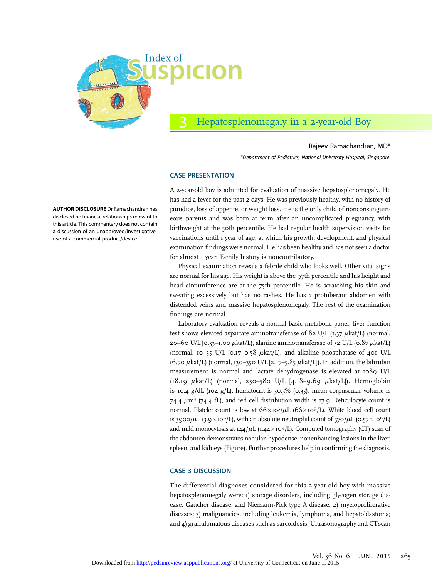

# Hepatosplenomegaly in a 2-year-old Boy

#### Rajeev Ramachandran, MD\*

\*Department of Pediatrics, National University Hospital, Singapore.

#### CASE PRESENTATION

AUTHOR DISCLOSURE Dr Ramachandran has disclosed no financial relationships relevant to this article. This commentary does not contain a discussion of an unapproved/investigative use of a commercial product/device.

A 2-year-old boy is admitted for evaluation of massive hepatosplenomegaly. He has had a fever for the past 2 days. He was previously healthy, with no history of jaundice, loss of appetite, or weight loss. He is the only child of nonconsanguineous parents and was born at term after an uncomplicated pregnancy, with birthweight at the 50th percentile. He had regular health supervision visits for vaccinations until 1 year of age, at which his growth, development, and physical examination findings were normal. He has been healthy and has not seen a doctor for almost I year. Family history is noncontributory.

Physical examination reveals a febrile child who looks well. Other vital signs are normal for his age. His weight is above the 97th percentile and his height and head circumference are at the 75th percentile. He is scratching his skin and sweating excessively but has no rashes. He has a protuberant abdomen with distended veins and massive hepatosplenomegaly. The rest of the examination findings are normal.

Laboratory evaluation reveals a normal basic metabolic panel, liver function test shows elevated aspartate aminotransferase of  $82$  U/L ( $1.37 \mu$ kat/L) (normal, 20–60 U/L  $[0.33]$ –1.00  $\mu$ kat/L), alanine aminotransferase of 52 U/L  $(0.87 \mu$ kat/L) (normal, 10–35 U/L [0.17–0.58  $\mu$ kat/L), and alkaline phosphatase of 401 U/L (6.70  $\mu$ kat/L) (normal, 130–350 U/L [2.17–5.85  $\mu$ kat/L]). In addition, the bilirubin measurement is normal and lactate dehydrogenase is elevated at 1089 U/L  $(18.19 \mu \text{kat/L})$  (normal, 250-580 U/L [4.18-9.69  $\mu \text{kat/L}$ ]). Hemoglobin is 10.4  $g/dL$  (104  $g/L$ ), hematocrit is 30.5% (0.35), mean corpuscular volume is 74.4  $\mu$ m<sup>3</sup> (74.4 fL), and red cell distribution width is 17.9. Reticulocyte count is normal. Platelet count is low at  $66\times10^3/\mu$ L ( $66\times10^9/\text{L}$ ). White blood cell count is 3900/ $\mu$ L (3.9×10<sup>9</sup>/L), with an absolute neutrophil count of 570/ $\mu$ L (0.57×10<sup>9</sup>/L) and mild monocytosis at  $144/\mu$ L (1.44×109/L). Computed tomography (CT) scan of the abdomen demonstrates nodular, hypodense, nonenhancing lesions in the liver, spleen, and kidneys (Figure). Further procedures help in confirming the diagnosis.

### CASE 3 DISCUSSION

The differential diagnoses considered for this 2-year-old boy with massive hepatosplenomegaly were: 1) storage disorders, including glycogen storage disease, Gaucher disease, and Niemann-Pick type A disease; 2) myeloproliferative diseases; 3) malignancies, including leukemia, lymphoma, and hepatoblastoma; and 4) granulomatous diseases such as sarcoidosis. Ultrasonography and CTscan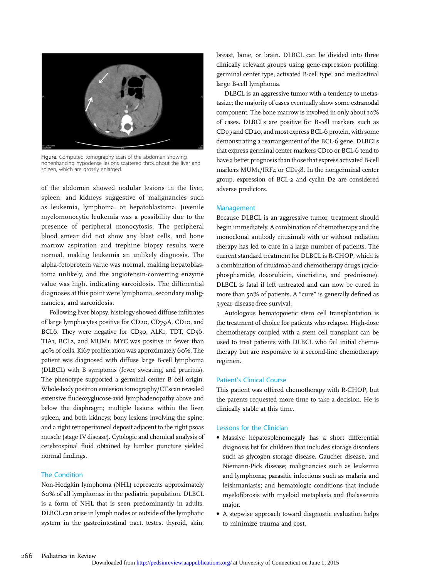

Figure. Computed tomography scan of the abdomen showing nonenhancing hypodense lesions scattered throughout the liver and spleen, which are grossly enlarged.

of the abdomen showed nodular lesions in the liver, spleen, and kidneys suggestive of malignancies such as leukemia, lymphoma, or hepatoblastoma. Juvenile myelomonocytic leukemia was a possibility due to the presence of peripheral monocytosis. The peripheral blood smear did not show any blast cells, and bone marrow aspiration and trephine biopsy results were normal, making leukemia an unlikely diagnosis. The alpha-fetoprotein value was normal, making hepatoblastoma unlikely, and the angiotensin-converting enzyme value was high, indicating sarcoidosis. The differential diagnoses at this point were lymphoma, secondary malignancies, and sarcoidosis.

Following liver biopsy, histology showed diffuse infiltrates of large lymphocytes positive for CD20, CD79A, CD10, and BCL6. They were negative for CD30, ALKI, TDT, CD56, TIA1, BCL2, and MUM1. MYC was positive in fewer than 40% of cells. Ki67 proliferation was approximately 60%. The patient was diagnosed with diffuse large B-cell lymphoma (DLBCL) with B symptoms (fever, sweating, and pruritus). The phenotype supported a germinal center B cell origin. Whole-body positron emission tomography/CTscan revealed extensive fludeoxyglucose-avid lymphadenopathy above and below the diaphragm; multiple lesions within the liver, spleen, and both kidneys; bony lesions involving the spine; and a right retroperitoneal deposit adjacent to the right psoas muscle (stage IV disease). Cytologic and chemical analysis of cerebrospinal fluid obtained by lumbar puncture yielded normal findings.

## The Condition

Non-Hodgkin lymphoma (NHL) represents approximately 60% of all lymphomas in the pediatric population. DLBCL is a form of NHL that is seen predominantly in adults. DLBCL can arise in lymph nodes or outside of the lymphatic system in the gastrointestinal tract, testes, thyroid, skin,

breast, bone, or brain. DLBCL can be divided into three clinically relevant groups using gene-expression profiling: germinal center type, activated B-cell type, and mediastinal large B-cell lymphoma.

DLBCL is an aggressive tumor with a tendency to metastasize; the majority of cases eventually show some extranodal component. The bone marrow is involved in only about 10% of cases. DLBCLs are positive for B-cell markers such as CD19 and CD20, and most express BCL-6 protein, with some demonstrating a rearrangement of the BCL-6 gene. DLBCLs that express germinal center markers CD10 or BCL-6 tend to have a better prognosis than those that express activated B-cell markers MUM1/IRF4 or CD138. In the nongerminal center group, expression of BCL-2 and cyclin D2 are considered adverse predictors.

#### Management

Because DLBCL is an aggressive tumor, treatment should begin immediately. A combination of chemotherapy and the monoclonal antibody rituximab with or without radiation therapy has led to cure in a large number of patients. The current standard treatment for DLBCL is R-CHOP, which is a combination of rituximab and chemotherapy drugs (cyclophosphamide, doxorubicin, vincristine, and prednisone). DLBCL is fatal if left untreated and can now be cured in more than 50% of patients. A "cure" is generally defined as 5-year disease-free survival.

Autologous hematopoietic stem cell transplantation is the treatment of choice for patients who relapse. High-dose chemotherapy coupled with a stem cell transplant can be used to treat patients with DLBCL who fail initial chemotherapy but are responsive to a second-line chemotherapy regimen.

#### Patient's Clinical Course

This patient was offered chemotherapy with R-CHOP, but the parents requested more time to take a decision. He is clinically stable at this time.

#### Lessons for the Clinician

- Massive hepatosplenomegaly has a short differential diagnosis list for children that includes storage disorders such as glycogen storage disease, Gaucher disease, and Niemann-Pick disease; malignancies such as leukemia and lymphoma; parasitic infections such as malaria and leishmaniasis; and hematologic conditions that include myelofibrosis with myeloid metaplasia and thalassemia major.
- A stepwise approach toward diagnostic evaluation helps to minimize trauma and cost.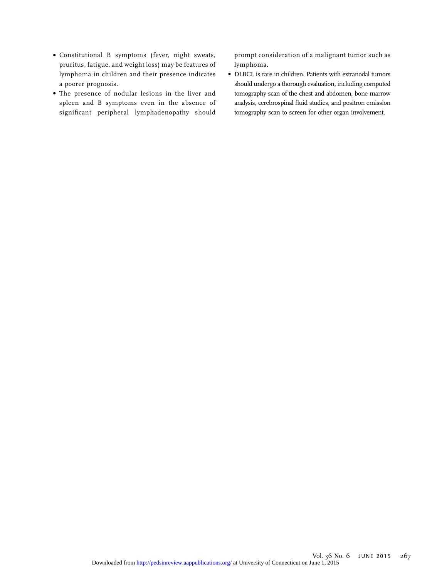- Constitutional B symptoms ( fever, night sweats, pruritus, fatigue, and weight loss) may be features of lymphoma in children and their presence indicates a poorer prognosis.
- The presence of nodular lesions in the liver and spleen and B symptoms even in the absence of significant peripheral lymphadenopathy should

prompt consideration of a malignant tumor such as lymphoma.

• DLBCL is rare in children. Patients with extranodal tumors should undergo a thorough evaluation, including computed tomography scan of the chest and abdomen, bone marrow analysis, cerebrospinal fluid studies, and positron emission tomography scan to screen for other organ involvement.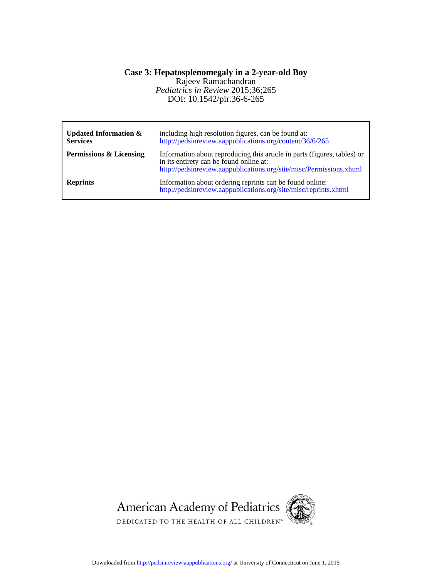## DOI: 10.1542/pir.36-6-265 *Pediatrics in Review* 2015;36;265 Rajeev Ramachandran **Case 3: Hepatosplenomegaly in a 2-year-old Boy**

| Updated Information $\&$<br><b>Services</b> | including high resolution figures, can be found at:<br>http://pedsinreview.aappublications.org/content/36/6/265                                                                            |
|---------------------------------------------|--------------------------------------------------------------------------------------------------------------------------------------------------------------------------------------------|
| <b>Permissions &amp; Licensing</b>          | Information about reproducing this article in parts (figures, tables) or<br>in its entirety can be found online at:<br>http://pedsinreview.aappublications.org/site/misc/Permissions.xhtml |
| <b>Reprints</b>                             | Information about ordering reprints can be found online:<br>http://pedsinreview.aappublications.org/site/misc/reprints.xhtml                                                               |